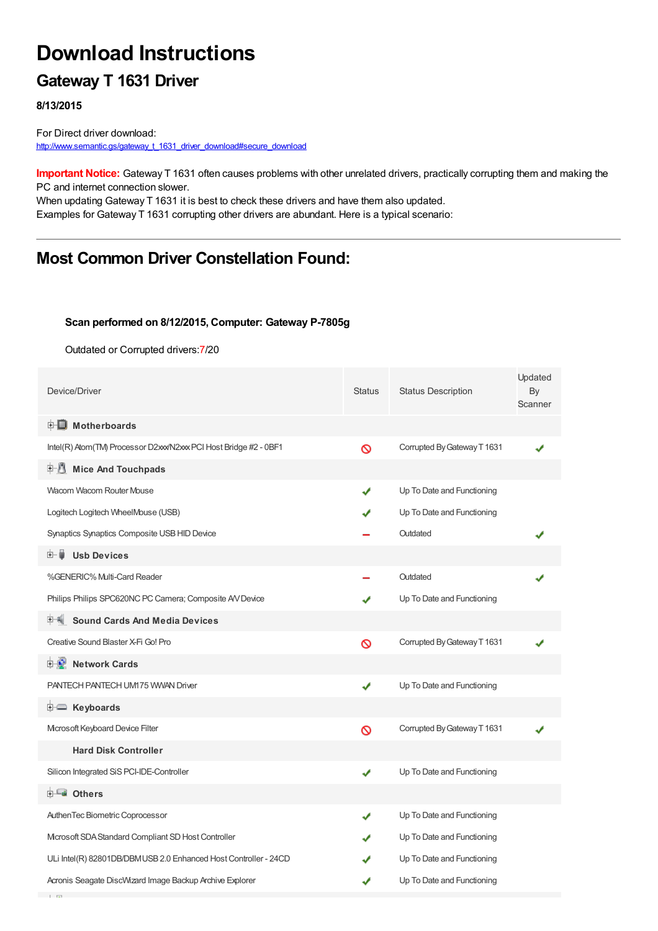# **Download Instructions**

## **Gateway T 1631 Driver**

**8/13/2015**

For Direct driver download: [http://www.semantic.gs/gateway\\_t\\_1631\\_driver\\_download#secure\\_download](http://www.semantic.gs/gateway_t_1631_driver_download#secure_download)

**Important Notice:** Gateway T 1631 often causes problems with other unrelated drivers, practically corrupting them and making the PC and internet connection slower.

When updating Gateway T 1631 it is best to check these drivers and have them also updated. Examples for Gateway T 1631 corrupting other drivers are abundant. Here is a typical scenario:

## **Most Common Driver Constellation Found:**

#### **Scan performed on 8/12/2015, Computer: Gateway P-7805g**

Outdated or Corrupted drivers:7/20

| Device/Driver                                                     | <b>Status</b> | <b>Status Description</b>   | Updated<br>By<br>Scanner |
|-------------------------------------------------------------------|---------------|-----------------------------|--------------------------|
| <b>E</b> Motherboards                                             |               |                             |                          |
| Intel(R) Atom(TM) Processor D2xxx/N2xxx PCI Host Bridge #2 - 0BF1 | $\infty$      | Corrupted By Gateway T 1631 |                          |
| Mice And Touchpads                                                |               |                             |                          |
| Wacom Wacom Router Mouse                                          | ✔             | Up To Date and Functioning  |                          |
| Logitech Logitech WheelMouse (USB)                                |               | Up To Date and Functioning  |                          |
| Synaptics Synaptics Composite USB HID Device                      |               | Outdated                    |                          |
| 由一員:<br><b>Usb Devices</b>                                        |               |                             |                          |
| %GENERIC% Multi-Card Reader                                       |               | Outdated                    |                          |
| Philips Philips SPC620NC PC Camera; Composite AV Device           |               | Up To Date and Functioning  |                          |
| <b>Sound Cards And Media Devices</b>                              |               |                             |                          |
| Creative Sound Blaster X-Fi Go! Pro                               | $\infty$      | Corrupted By Gateway T 1631 |                          |
| <b>E-2</b> Network Cards                                          |               |                             |                          |
| PANTECH PANTECH UM175 WWAN Driver                                 | ✔             | Up To Date and Functioning  |                          |
| <b>E</b> Keyboards                                                |               |                             |                          |
| Microsoft Keyboard Device Filter                                  | $\infty$      | Corrupted By Gateway T 1631 |                          |
| <b>Hard Disk Controller</b>                                       |               |                             |                          |
| Silicon Integrated SiS PCI-IDE-Controller                         | ✔             | Up To Date and Functioning  |                          |
| <b>E</b> Others                                                   |               |                             |                          |
| AuthenTec Biometric Coprocessor                                   |               | Up To Date and Functioning  |                          |
| Mcrosoft SDA Standard Compliant SD Host Controller                |               | Up To Date and Functioning  |                          |
| ULi Intel(R) 82801DB/DBMUSB 2.0 Enhanced Host Controller - 24CD   |               | Up To Date and Functioning  |                          |
| Acronis Seagate DiscWizard Image Backup Archive Explorer          |               | Up To Date and Functioning  |                          |
| $1 - 1 - 1$                                                       |               |                             |                          |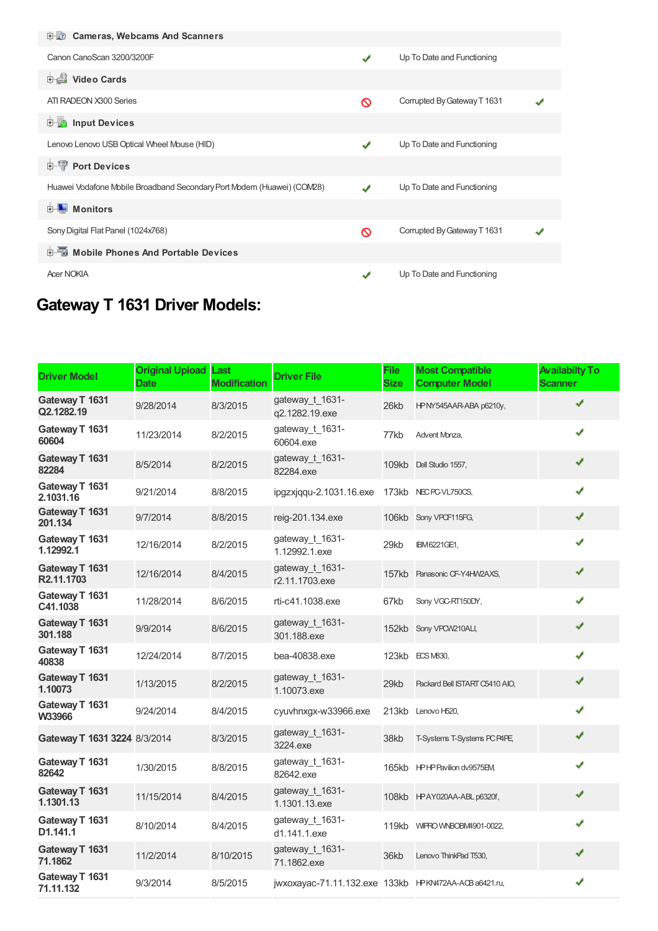| <b>E-LO</b> Cameras, Webcams And Scanners                              |   |                             |  |
|------------------------------------------------------------------------|---|-----------------------------|--|
| Canon CanoScan 3200/3200F                                              | ✔ | Up To Date and Functioning  |  |
| <b>Dideo Cards</b>                                                     |   |                             |  |
| ATI RADEON X300 Series                                                 | ∾ | Corrupted By Gateway T 1631 |  |
| <b>E</b> Input Devices                                                 |   |                             |  |
| Lenovo Lenovo USB Optical Wheel Mouse (HID)                            | ✔ | Up To Date and Functioning  |  |
| <b>E-1</b> Port Devices                                                |   |                             |  |
| Huawei Vodafone Mobile Broadband Secondary Port Modem (Huawei) (COM28) |   | Up To Date and Functioning  |  |
| <b>D</b> Monitors                                                      |   |                             |  |
| Sony Digital Flat Panel (1024x768)                                     | ര | Corrupted By Gateway T 1631 |  |
| <b>Devices</b> Mobile Phones And Portable Devices                      |   |                             |  |
| <b>Acer NOKIA</b>                                                      | ✔ | Up To Date and Functioning  |  |

## **Gateway T 1631 Driver Models:**

| <b>Driver Model</b>                       | <b>Original Upload</b><br>Date | ∟ast<br><b>Modification</b> | <b>Driver File</b>                                    | <b>File</b><br><b>Size</b> | <b>Most Compatible</b><br><b>Computer Model</b> | <b>Availabilty To</b><br><b>Scanner</b> |
|-------------------------------------------|--------------------------------|-----------------------------|-------------------------------------------------------|----------------------------|-------------------------------------------------|-----------------------------------------|
| Gateway T 1631<br>Q2.1282.19              | 9/28/2014                      | 8/3/2015                    | gateway_t_1631-<br>q2.1282.19.exe                     | 26kb                       | HPNY545AAR-ABA p6210y,                          | ✔                                       |
| Gateway T 1631<br>60604                   | 11/23/2014                     | 8/2/2015                    | gateway t 1631-<br>60604.exe                          | 77kb                       | Advent Monza,                                   | J                                       |
| Gateway T 1631<br>82284                   | 8/5/2014                       | 8/2/2015                    | gateway t 1631-<br>82284.exe                          | 109kb                      | Dell Studio 1557,                               | ✔                                       |
| Gateway T 1631<br>2.1031.16               | 9/21/2014                      | 8/8/2015                    | ipgzxjqqu-2.1031.16.exe                               | 173kb                      | NEC PC-VL750CS,                                 | ✔                                       |
| Gateway T 1631<br>201.134                 | 9/7/2014                       | 8/8/2015                    | reig-201.134.exe                                      | 106kb                      | Sony VPOF115FG,                                 | ✔                                       |
| Gateway T 1631<br>1.12992.1               | 12/16/2014                     | 8/2/2015                    | gateway t 1631-<br>1.12992.1.exe                      | 29kb                       | IBM6221GE1,                                     | ✔                                       |
| Gateway T 1631<br>R <sub>2</sub> .11.1703 | 12/16/2014                     | 8/4/2015                    | gateway_t_1631-<br>r2.11.1703.exe                     | 157kb                      | Panasonic CF-Y4HW2AXS,                          | ✔                                       |
| Gateway T 1631<br>C41.1038                | 11/28/2014                     | 8/6/2015                    | rti-c41.1038.exe                                      | 67kb                       | Sony VGC-RT150DY,                               | ✔                                       |
| Gateway T 1631<br>301.188                 | 9/9/2014                       | 8/6/2015                    | gateway t 1631-<br>301.188.exe                        | 152kb                      | Sony VPCW210ALI,                                | ✔                                       |
| Gateway T 1631<br>40838                   | 12/24/2014                     | 8/7/2015                    | bea-40838.exe                                         | 123kb                      | <b>ECS MB30,</b>                                | ✔                                       |
| Gateway T 1631<br>1.10073                 | 1/13/2015                      | 8/2/2015                    | gateway t 1631-<br>1.10073.exe                        | 29kb                       | Packard Bell ISTART C5410 AIO,                  | ✔                                       |
| Gateway T 1631<br>W33966                  | 9/24/2014                      | 8/4/2015                    | cyuvhnxgx-w33966.exe                                  | 213kb                      | Lenovo H520,                                    | ✔                                       |
| Gateway T 1631 3224 8/3/2014              |                                | 8/3/2015                    | gateway_t_1631-<br>3224.exe                           | 38kb                       | T-Systems T-Systems PC P4PE,                    | ✔                                       |
| Gateway T 1631<br>82642                   | 1/30/2015                      | 8/8/2015                    | gateway t 1631-<br>82642.exe                          |                            | 165kb HPHP Pavilion dv9575EM,                   | ✔                                       |
| Gateway T 1631<br>1.1301.13               | 11/15/2014                     | 8/4/2015                    | gateway t 1631-<br>1.1301.13.exe                      |                            | 108kb HPAY020AA-ABL p6320f,                     | ✔                                       |
| Gateway T 1631<br>D1.141.1                | 8/10/2014                      | 8/4/2015                    | gateway t 1631-<br>d1.141.1.exe                       | 119kb                      | WIPRO WNBOBM4901-0022,                          | ✔                                       |
| Gateway T 1631<br>71.1862                 | 11/2/2014                      | 8/10/2015                   | gateway_t_1631-<br>71.1862.exe                        | 36kb                       | Lenovo ThinkPad T530,                           | ✔                                       |
| Gateway T 1631<br>71.11.132               | 9/3/2014                       | 8/5/2015                    | jwxoxayac-71.11.132.exe 133kb HPKN472AA-ACB a6421.ru, |                            |                                                 | ✔                                       |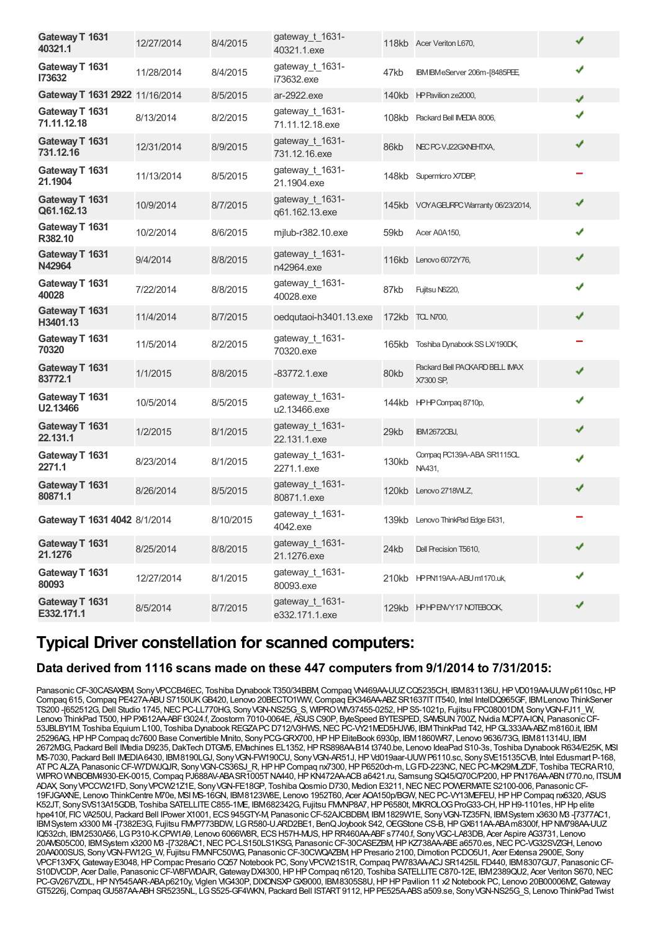| Gateway T 1631<br>40321.1      | 12/27/2014 | 8/4/2015  | gateway_t_1631-<br>40321.1.exe     |              | 118kb Acer Veriton L670,                    | ✔ |
|--------------------------------|------------|-----------|------------------------------------|--------------|---------------------------------------------|---|
| Gateway T 1631<br>173632       | 11/28/2014 | 8/4/2015  | gateway_t_1631-<br>i73632.exe      | 47kb         | IBM IBM eServer 206m-[8485PEE]              | ✔ |
| Gateway T 1631 2922 11/16/2014 |            | 8/5/2015  | ar-2922.exe                        | 140kb        | HP Pavilion ze2000,                         | J |
| Gateway T 1631<br>71.11.12.18  | 8/13/2014  | 8/2/2015  | gateway t 1631-<br>71.11.12.18.exe | 108kb        | Packard Bell IMEDIA 8006,                   |   |
| Gateway T 1631<br>731.12.16    | 12/31/2014 | 8/9/2015  | gateway_t_1631-<br>731.12.16.exe   | 86kb         | NEC PC-VJ22GXNEHTXA,                        |   |
| Gateway T 1631<br>21.1904      | 11/13/2014 | 8/5/2015  | gateway_t_1631-<br>21.1904.exe     | <b>148kb</b> | Supermicro X7DBP,                           |   |
| Gateway T 1631<br>Q61.162.13   | 10/9/2014  | 8/7/2015  | gateway_t_1631-<br>q61.162.13.exe  | 145kb        | VOYAGEURPC Warranty 06/23/2014,             | ✔ |
| Gateway T 1631<br>R382.10      | 10/2/2014  | 8/6/2015  | mjlub-r382.10.exe                  | 59kb         | Acer A0A150,                                | ✔ |
| Gateway T 1631<br>N42964       | 9/4/2014   | 8/8/2015  | gateway_t_1631-<br>n42964.exe      | 116kb        | Lenovo 6072Y76,                             | ✔ |
| Gateway T 1631<br>40028        | 7/22/2014  | 8/8/2015  | gateway_t_1631-<br>40028.exe       | 87kb         | Fujitsu N6220,                              | ✔ |
| Gateway T 1631<br>H3401.13     | 11/4/2014  | 8/7/2015  | oedgutaoi-h3401.13.exe             |              | 172kb TOLN700,                              | ✔ |
| Gateway T 1631<br>70320        | 11/5/2014  | 8/2/2015  | gateway_t_1631-<br>70320.exe       | 165kb        | Toshiba Dynabook SS LX/190DK,               |   |
| Gateway T 1631<br>83772.1      | 1/1/2015   | 8/8/2015  | $-83772.1$ .exe                    | 80kb         | Packard Bell PACKARD BELL IMAX<br>X7300 SP, | ✔ |
| Gateway T 1631<br>U2.13466     | 10/5/2014  | 8/5/2015  | gateway_t_1631-<br>u2.13466.exe    | 144kb        | HPHP Compaq 8710p,                          | ✔ |
| Gateway T 1631<br>22.131.1     | 1/2/2015   | 8/1/2015  | gateway_t_1631-<br>22.131.1.exe    | 29kb         | <b>IBM2672CBJ,</b>                          |   |
| Gateway T 1631<br>2271.1       | 8/23/2014  | 8/1/2015  | gateway_t_1631-<br>2271.1.exe      | 130kb        | Compaq PC139A-ABA SR1115CL<br>NA431,        | ✔ |
| Gateway T 1631<br>80871.1      | 8/26/2014  | 8/5/2015  | gateway t 1631-<br>80871.1.exe     | 120kb        | Lenovo 2718WLZ,                             | ✔ |
| Gateway T 1631 4042 8/1/2014   |            | 8/10/2015 | gateway_t_1631-<br>4042.exe        |              | 139kb Lenovo ThinkPad Edge E431,            |   |
| Gateway T 1631<br>21.1276      | 8/25/2014  | 8/8/2015  | gateway t 1631-<br>21.1276.exe     | 24kb         | Dell Precision T5610,                       | ✔ |
| Gateway T 1631<br>80093        | 12/27/2014 | 8/1/2015  | gateway t 1631-<br>80093.exe       |              | 210kb HPPN119AA-ABUm1170.uk,                | ✔ |
| Gateway T 1631<br>E332.171.1   | 8/5/2014   | 8/7/2015  | gateway_t_1631-<br>e332.171.1.exe  |              | 129kb HPHPENVY17 NOTEBOOK                   | ✔ |

### **Typical Driver constellation for scanned computers:**

#### **Data derived from 1116 scans made on these 447 computers from 9/1/2014 to 7/31/2015:**

Panasonic CF-30CASAXBM, Sony VPCCB46EC, Toshiba Dynabook T350/34BBM, Compaq VN469AA-UUZ CQ5235CH, IBM831136U, HP VD019AA-UUW p6110sc, HP Compaq 615, Compaq PE427A-ABU S7150UK GB420, Lenovo 20BECTO1WW, Compaq EK346AA-ABZ SR1637IT IT540, Intel IntelDQ965GF, IBM Lenovo ThinkServer TS200 -[652512G,Dell Studio 1745,NECPC-LL770HG, SonyVGN-NS25G\_S, WIPROWIV37455-0252,HPS5-1021p, Fujitsu FPC08001DM, SonyVGN-FJ11\_W, Lenovo ThinkPad T500, HP PX612AA-ABFt3024.f, Zoostorm 7010-0064E, ASUS C90P, ByteSpeed BYTESPED, SAMSUN 700Z, Nvidia MCP7A-ION, Panasonic CF-53JBLBY1M, Toshiba Equium L100, Toshiba Dynabook REGZAPC D712/V3HWS, NEC PC-VY21MED5HJW6, IBM ThinkPad T42, HP GL333AA-ABZ m8160.it, IBM 25296AG,HPHPCompaq dc7600 Base Convertible Minito, SonyPCG-GRX700,HPHPEliteBook 6930p, IBM1860WR7, Lenovo 9636/73G, IBM811314U, IBM 2672M3G, Packard Bell IMedia D9235,DakTech DTGM5, EMachines EL1352,HPRS898AA-B14 t3740.be, Lenovo IdeaPad S10-3s, Toshiba DynabookR634/E25K, MSI MS-7030, Packard Bell IMEDIA6430, IBM8190LGJ, SonyVGN-FW190CU, SonyVGN-AR51J,HPVd019aar-UUWP6110.sc, SonySVE15135CVB, Intel Edusmart P-168, ATPCALZA, PanasonicCF-W7DWJQJR, SonyVGN-CS36SJ\_R,HPHPCompaq nx7300,HPP6520ch-m, LGFD-223NC,NECPC-MK29MLZDF, Toshiba TECRAR10, WIPRO WNBOBM4930-EK-0015, Compaq PJ688AV-ABA SR1005T NA440, HP KN472AA-ACB a6421.ru, Samsung SQ45/Q70C/P200, HP PN176AA-ABN t770.no, ITSUM ADAX, Sony VPCCW21FD, Sony VPCW21Z1E, Sony VGN-FE18GP, Toshiba Qosmio D730, Medion E3211, NEC NEC POWERMATE S2100-006, Panasonic CF-19FJGAXNE, Lenovo ThinkCentre M70e, MSI MS-16GN, IBM8123W8E, Lenovo 1952T60, Acer AOA150p/BGW,NECPC-VY13MEFEU,HPHPCompaq nx6320, ASUS K52JT, SonySVS13A15GDB, Toshiba SATELLITE C855-1ME, IBM682342G, Fujitsu FMMP8A7, HP P6580t, MKROLOG ProG33-CH, HP H9-1101es. HP Hp elite hpe410f, FIC VA250U, Packard Bell IPower X1001, ECS 945GTY-M, Panasonic CF-52AJCBDBM, IBM 1829W1E, Sony VGN-TZ35FN, IBM System x3630 M3 -[7377AC1, IBMSystem x3300 M4 -[7382E3G, Fujitsu FMVP773BDW, LGR580-U.ARD2BE1, BenQJoybook S42,OEGStone CS-B,HPGX611AA-ABAm8300f,HPNM798AA-UUZ IQ532ch, IBM2530A56, LGP310-K.CPW1A9, Lenovo 6066W8R, ECSH57H-MUS,HPRR460AA-ABFs7740.f, SonyVGC-LA83DB, Acer Aspire AG3731, Lenovo 20AMS05C00, IBMSystem x3200 M3 -[7328AC1,NECPC-LS150LS1KSG, PanasonicCF-30CASEZBM,HPKZ738AA-ABEa6570.es,NECPC-VG32SVZGH, Lenovo 20AA000SUS, Sony VGN-FW12G\_W, Fujitsu FM/NFC50WG, Panasonic CF-30CWQAZBM, HP Presario 2100, Dimotion PCDO5U1, Acer Extensa 2900E, Sony VPCF13XFX,GatewayE3048,HPCompac Presario CQ57 Notebook PC, SonyVPCW21S1R,Compaq PW783AA-ACJ SR1425IL FD440, IBM8307GU7, PanasonicCF-S10DVCDP, Acer Dalle, Panasonic CF-W8FWDAJR, Gateway DX4300, HP HP Compaq n6120, Toshiba SATELLITE C870-12E, IBM 2389QU2, Acer Veriton S670, NEC PC-GV267VZDL, HPNY545AAR-ABA p6210y, Viglen VIG430P, DIXONSXP GX9000, IBM8305S8U, HPHP Pavilion 11 x2 Notebook PC, Lenovo 20B00006MZ, Gateway GT5226j,CompaqGU587AA-ABHSR5235NL, LGS525-GF4WKN, Packard Bell ISTART9112,HPPE525A-ABSa509.se, SonyVGN-NS25G\_S, Lenovo ThinkPad Twist